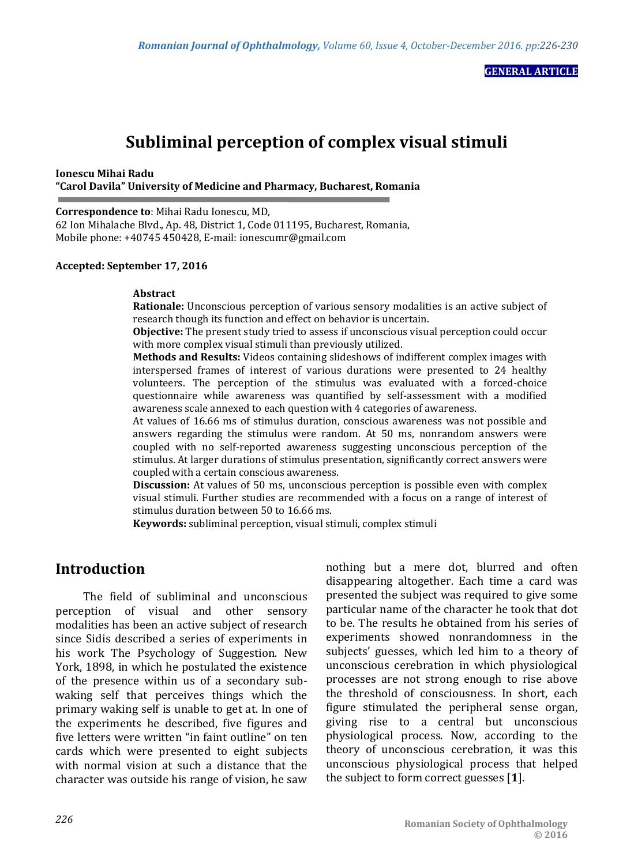**GENERAL ARTICLE**

# **Subliminal perception of complex visual stimuli**

**Ionescu Mihai Radu "Carol Davila" University of Medicine and Pharmacy, Bucharest, Romania**

**Correspondence to**: Mihai Radu Ionescu, MD,

62 Ion Mihalache Blvd., Ap. 48, District 1, Code 011195, Bucharest, Romania, Mobile phone: +40745 450428, E-mail: ionescumr@gmail.com

### **Accepted: September 17, 2016**

#### **Abstract**

**Rationale:** Unconscious perception of various sensory modalities is an active subject of research though its function and effect on behavior is uncertain.

**Objective:** The present study tried to assess if unconscious visual perception could occur with more complex visual stimuli than previously utilized.

**Methods and Results:** Videos containing slideshows of indifferent complex images with interspersed frames of interest of various durations were presented to 24 healthy volunteers. The perception of the stimulus was evaluated with a forced-choice questionnaire while awareness was quantified by self-assessment with a modified awareness scale annexed to each question with 4 categories of awareness.

At values of 16.66 ms of stimulus duration, conscious awareness was not possible and answers regarding the stimulus were random. At 50 ms, nonrandom answers were coupled with no self-reported awareness suggesting unconscious perception of the stimulus. At larger durations of stimulus presentation, significantly correct answers were coupled with a certain conscious awareness.

**Discussion:** At values of 50 ms, unconscious perception is possible even with complex visual stimuli. Further studies are recommended with a focus on a range of interest of stimulus duration between 50 to 16.66 ms.

**Keywords:** subliminal perception, visual stimuli, complex stimuli

## **Introduction**

The field of subliminal and unconscious perception of visual and other sensory modalities has been an active subject of research since Sidis described a series of experiments in his work The Psychology of Suggestion. New York, 1898, in which he postulated the existence of the presence within us of a secondary subwaking self that perceives things which the primary waking self is unable to get at. In one of the experiments he described, five figures and five letters were written "in faint outline" on ten cards which were presented to eight subjects with normal vision at such a distance that the character was outside his range of vision, he saw

nothing but a mere dot, blurred and often disappearing altogether. Each time a card was presented the subject was required to give some particular name of the character he took that dot to be. The results he obtained from his series of experiments showed nonrandomness in the subjects' guesses, which led him to a theory of unconscious cerebration in which physiological processes are not strong enough to rise above the threshold of consciousness. In short, each figure stimulated the peripheral sense organ, giving rise to a central but unconscious physiological process. Now, according to the theory of unconscious cerebration, it was this unconscious physiological process that helped the subject to form correct guesses [**1**].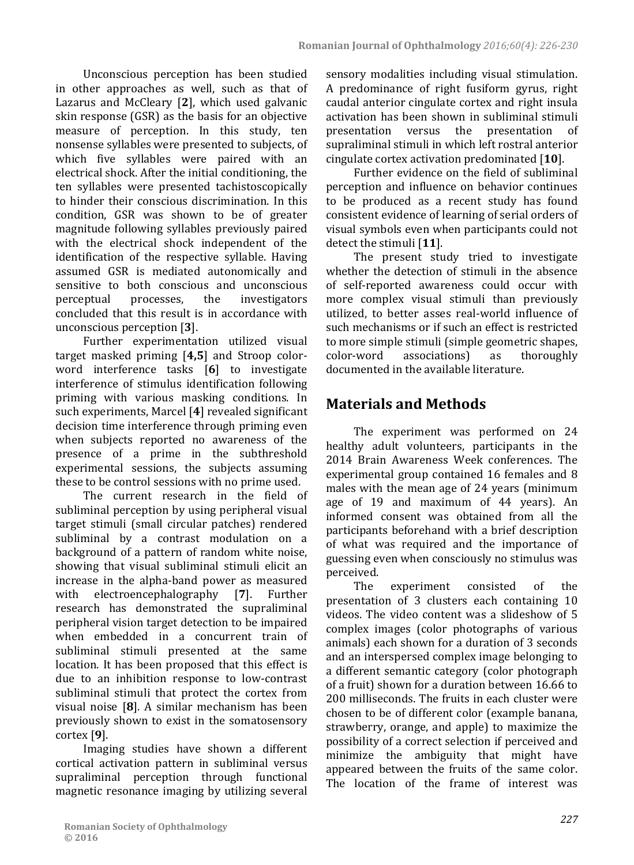Unconscious perception has been studied in other approaches as well, such as that of Lazarus and McCleary [**2**], which used galvanic skin response (GSR) as the basis for an objective measure of perception. In this study, ten nonsense syllables were presented to subjects, of which five syllables were paired with an electrical shock. After the initial conditioning, the ten syllables were presented tachistoscopically to hinder their conscious discrimination. In this condition, GSR was shown to be of greater magnitude following syllables previously paired with the electrical shock independent of the identification of the respective syllable. Having assumed GSR is mediated autonomically and sensitive to both conscious and unconscious<br>perceptual processes, the investigators perceptual processes, the investigators concluded that this result is in accordance with unconscious perception [**3**].

Further experimentation utilized visual target masked priming [**4,5**] and Stroop colorword interference tasks [**6**] to investigate interference of stimulus identification following priming with various masking conditions. In such experiments, Marcel [**4**] revealed significant decision time interference through priming even when subjects reported no awareness of the presence of a prime in the subthreshold experimental sessions, the subjects assuming these to be control sessions with no prime used.

The current research in the field of subliminal perception by using peripheral visual target stimuli (small circular patches) rendered subliminal by a contrast modulation on a background of a pattern of random white noise, showing that visual subliminal stimuli elicit an increase in the alpha-band power as measured<br>with electroencephalography [7]. Further  $\theta$  electroencephalography research has demonstrated the supraliminal peripheral vision target detection to be impaired when embedded in a concurrent train of subliminal stimuli presented at the same location. It has been proposed that this effect is due to an inhibition response to low-contrast subliminal stimuli that protect the cortex from visual noise [**8**]. A similar mechanism has been previously shown to exist in the somatosensory cortex [**9**].

Imaging studies have shown a different cortical activation pattern in subliminal versus supraliminal perception through functional magnetic resonance imaging by utilizing several sensory modalities including visual stimulation. A predominance of right fusiform gyrus, right caudal anterior cingulate cortex and right insula activation has been shown in subliminal stimuli<br>presentation versus the presentation of the presentation of supraliminal stimuli in which left rostral anterior cingulate cortex activation predominated [**10**].

Further evidence on the field of subliminal perception and influence on behavior continues to be produced as a recent study has found consistent evidence of learning of serial orders of visual symbols even when participants could not detect the stimuli [**11**].

The present study tried to investigate whether the detection of stimuli in the absence of self-reported awareness could occur with more complex visual stimuli than previously utilized, to better asses real-world influence of such mechanisms or if such an effect is restricted to more simple stimuli (simple geometric shapes,<br>color-word associations) as thoroughly associations) documented in the available literature.

# **Materials and Methods**

The experiment was performed on 24 healthy adult volunteers, participants in the 2014 Brain Awareness Week conferences. The experimental group contained 16 females and 8 males with the mean age of 24 years (minimum age of 19 and maximum of 44 years). An informed consent was obtained from all the participants beforehand with a brief description of what was required and the importance of guessing even when consciously no stimulus was perceived.<br>The

experiment consisted of the presentation of 3 clusters each containing 10 videos. The video content was a slideshow of 5 complex images (color photographs of various animals) each shown for a duration of 3 seconds and an interspersed complex image belonging to a different semantic category (color photograph of a fruit) shown for a duration between 16.66 to 200 milliseconds. The fruits in each cluster were chosen to be of different color (example banana, strawberry, orange, and apple) to maximize the possibility of a correct selection if perceived and minimize the ambiguity that might have appeared between the fruits of the same color. The location of the frame of interest was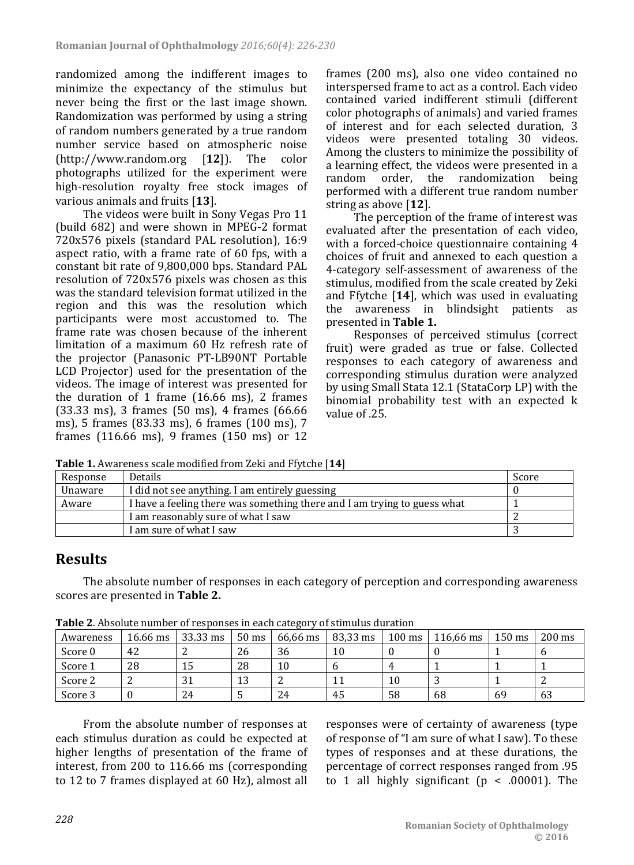randomized among the indifferent images to minimize the expectancy of the stimulus but never being the first or the last image shown. Randomization was performed by using a string of random numbers generated by a true random number service based on atmospheric noise<br>(http://www.random.org [12]). The color  $[http://www.random.org 12]$ . photographs utilized for the experiment were high-resolution royalty free stock images of various animals and fruits [**13**].

The videos were built in Sony Vegas Pro 11 (build 682) and were shown in MPEG-2 format 720x576 pixels (standard PAL resolution), 16:9 aspect ratio, with a frame rate of 60 fps, with a constant bit rate of 9,800,000 bps. Standard PAL resolution of 720x576 pixels was chosen as this was the standard television format utilized in the region and this was the resolution which participants were most accustomed to. The frame rate was chosen because of the inherent limitation of a maximum 60 Hz refresh rate of the projector (Panasonic PT-LB90NT Portable LCD Projector) used for the presentation of the videos. The image of interest was presented for the duration of 1 frame (16.66 ms), 2 frames (33.33 ms), 3 frames (50 ms), 4 frames (66.66 ms), 5 frames (83.33 ms), 6 frames (100 ms), 7 frames (116.66 ms), 9 frames (150 ms) or 12

frames (200 ms), also one video contained no interspersed frame to act as a control. Each video contained varied indifferent stimuli (different color photographs of animals) and varied frames of interest and for each selected duration, 3 videos were presented totaling 30 videos. Among the clusters to minimize the possibility of a learning effect, the videos were presented in a random order, the randomization being performed with a different true random number string as above [**12**].

The perception of the frame of interest was evaluated after the presentation of each video, with a forced-choice questionnaire containing 4 choices of fruit and annexed to each question a 4-category self-assessment of awareness of the stimulus, modified from the scale created by Zeki and Ffytche [**14**], which was used in evaluating the awareness in blindsight patients as presented in **Table 1.**

Responses of perceived stimulus (correct fruit) were graded as true or false. Collected responses to each category of awareness and corresponding stimulus duration were analyzed by using Small Stata 12.1 (StataCorp LP) with the binomial probability test with an expected k value of .25.

| <b>Tuble 1</b> Thing chess searc modified if our deni and I I year (1 I I |                                                                          |       |  |  |  |  |  |
|---------------------------------------------------------------------------|--------------------------------------------------------------------------|-------|--|--|--|--|--|
| Response                                                                  | <b>Details</b>                                                           | Score |  |  |  |  |  |
| Unaware                                                                   | I did not see anything. I am entirely guessing                           |       |  |  |  |  |  |
| Aware                                                                     | I have a feeling there was something there and I am trying to guess what |       |  |  |  |  |  |
|                                                                           | I am reasonably sure of what I saw                                       |       |  |  |  |  |  |
|                                                                           | I am sure of what I saw                                                  |       |  |  |  |  |  |

**Table 1.** Awareness scale modified from Zeki and Ffytche [**14**]

## **Results**

The absolute number of responses in each category of perception and corresponding awareness scores are presented in **Table 2.**

| $\frac{1}{2}$ . The control mail of $\frac{1}{2}$ . The copyright of the category |          |          |                 |          |          |                  |           |                  |                  |  |
|-----------------------------------------------------------------------------------|----------|----------|-----------------|----------|----------|------------------|-----------|------------------|------------------|--|
| Awareness                                                                         | 16.66 ms | 33.33 ms | $50 \text{ ms}$ | 66,66 ms | 83,33 ms | $100 \text{ ms}$ | 116,66 ms | $150 \text{ ms}$ | $200 \text{ ms}$ |  |
| Score 0                                                                           | 42       |          | 26              | 36       | 10       |                  |           |                  |                  |  |
| Score 1                                                                           | 28       | 15       | 28              | 10       |          | 4                |           |                  |                  |  |
| Score 2                                                                           |          | 31       | 13              |          |          | 10               |           |                  |                  |  |
| Score 3                                                                           |          | 24       |                 | 24       | 45       | 58               | 68        | 69               | 63               |  |

**Table 2**. Absolute number of responses in each category of stimulus duration

From the absolute number of responses at each stimulus duration as could be expected at higher lengths of presentation of the frame of interest, from 200 to 116.66 ms (corresponding to 12 to 7 frames displayed at 60 Hz), almost all responses were of certainty of awareness (type of response of "I am sure of what I saw). To these types of responses and at these durations, the percentage of correct responses ranged from .95 to 1 all highly significant ( $p < .00001$ ). The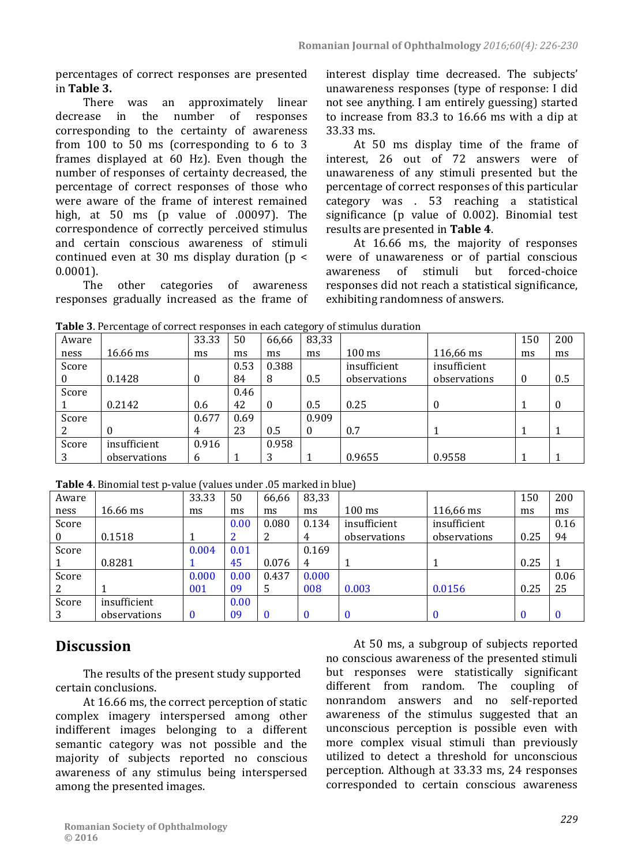percentages of correct responses are presented in **Table 3.**

There was an approximately linear<br>decrease in the number of responses the number corresponding to the certainty of awareness from 100 to 50 ms (corresponding to 6 to 3 frames displayed at 60 Hz). Even though the number of responses of certainty decreased, the percentage of correct responses of those who were aware of the frame of interest remained high, at 50 ms (p value of .00097). The correspondence of correctly perceived stimulus and certain conscious awareness of stimuli continued even at 30 ms display duration ( $p <$  $0.0001$ ).<br>The

other categories of awareness responses gradually increased as the frame of interest display time decreased. The subjects' unawareness responses (type of response: I did not see anything. I am entirely guessing) started to increase from 83.3 to 16.66 ms with a dip at 33.33 ms.

At 50 ms display time of the frame of interest, 26 out of 72 answers were of unawareness of any stimuli presented but the percentage of correct responses of this particular category was . 53 reaching a statistical significance (p value of 0.002). Binomial test results are presented in **Table 4**.

At 16.66 ms, the majority of responses were of unawareness or of partial conscious<br>awareness of stimuli but forced-choice of stimuli but forced-choice responses did not reach a statistical significance, exhibiting randomness of answers.

| Aware |              | 33.33        | 50   | 66,66        | 83,33    |                  |              | 150              | 200      |
|-------|--------------|--------------|------|--------------|----------|------------------|--------------|------------------|----------|
| ness  | 16.66 ms     | ms           | ms   | ms           | ms       | $100 \text{ ms}$ | 116,66 ms    | ms               | ms       |
| Score |              |              | 0.53 | 0.388        |          | insufficient     | insufficient |                  |          |
|       | 0.1428       | $\mathbf{0}$ | 84   | 8            | 0.5      | observations     | observations | $\boldsymbol{0}$ | 0.5      |
| Score |              |              | 0.46 |              |          |                  |              |                  |          |
|       | 0.2142       | 0.6          | 42   | $\mathbf{0}$ | 0.5      | 0.25             | $\Omega$     |                  | $\Omega$ |
| Score |              | 0.677        | 0.69 |              | 0.909    |                  |              |                  |          |
|       |              | 4            | 23   | 0.5          | $\Omega$ | 0.7              |              |                  |          |
| Score | insufficient | 0.916        |      | 0.958        |          |                  |              |                  |          |
|       | observations | 6            |      | 3            |          | 0.9655           | 0.9558       |                  |          |

**Table 3**. Percentage of correct responses in each category of stimulus duration

**Table 4**. Binomial test p-value (values under .05 marked in blue)

| Aware |              | 33.33    | 50   | 66,66        | 83,33        |                  |              | 150      | 200  |
|-------|--------------|----------|------|--------------|--------------|------------------|--------------|----------|------|
| ness  | 16.66 ms     | ms       | ms   | ms           | ms           | $100 \text{ ms}$ | 116,66 ms    | ms       | ms   |
| Score |              |          | 0.00 | 0.080        | 0.134        | insufficient     | insufficient |          | 0.16 |
| 0     | 0.1518       |          |      | 2            | 4            | observations     | observations | 0.25     | 94   |
| Score |              | 0.004    | 0.01 |              | 0.169        |                  |              |          |      |
|       | 0.8281       |          | 45   | 0.076        | 4            |                  |              | 0.25     |      |
| Score |              | 0.000    | 0.00 | 0.437        | 0.000        |                  |              |          | 0.06 |
|       |              | 001      | 09   | 5            | 008          | 0.003            | 0.0156       | 0.25     | 25   |
| Score | insufficient |          | 0.00 |              |              |                  |              |          |      |
|       | observations | $\Omega$ | 09   | $\mathbf{0}$ | $\mathbf{0}$ | $\mathbf{0}$     |              | $\bf{0}$ |      |

# **Discussion**

The results of the present study supported certain conclusions.

At 16.66 ms, the correct perception of static complex imagery interspersed among other indifferent images belonging to a different semantic category was not possible and the majority of subjects reported no conscious awareness of any stimulus being interspersed among the presented images.

At 50 ms, a subgroup of subjects reported no conscious awareness of the presented stimuli but responses were statistically significant different from random. The coupling of nonrandom answers and no self-reported awareness of the stimulus suggested that an unconscious perception is possible even with more complex visual stimuli than previously utilized to detect a threshold for unconscious perception. Although at 33.33 ms, 24 responses corresponded to certain conscious awareness